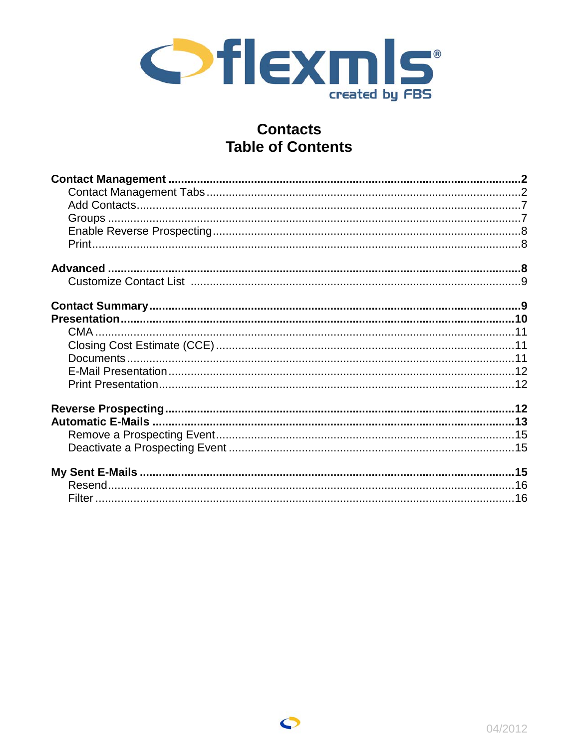

# **Contacts Table of Contents**

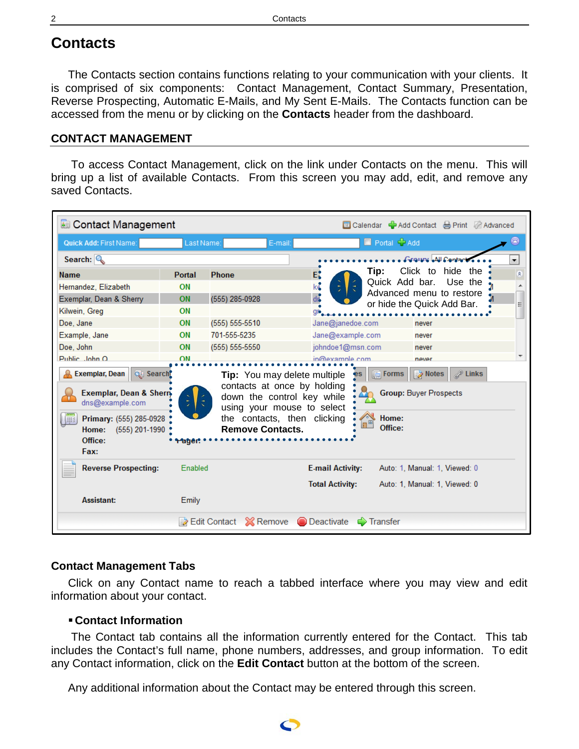# **Contacts**

The Contacts section contains functions relating to your communication with your clients. It is comprised of six components: Contact Management, Contact Summary, Presentation, Reverse Prospecting, Automatic E-Mails, and My Sent E-Mails. The Contacts function can be accessed from the menu or by clicking on the **Contacts** header from the dashboard.

## <span id="page-1-0"></span>**CONTACT MANAGEMENT**

To access Contact Management, click on the link under Contacts on the menu. This will bring up a list of available Contacts. From this screen you may add, edit, and remove any saved Contacts.

| Contact Management                                                                            |                       |                         |                                                                                           |                        | <b><b>Ex</b> Calendar ● Add Contact A Print 图 Advanced</b> |                     |
|-----------------------------------------------------------------------------------------------|-----------------------|-------------------------|-------------------------------------------------------------------------------------------|------------------------|------------------------------------------------------------|---------------------|
| Quick Add: First Name:                                                                        | Last Name:            |                         | E-mail:                                                                                   | Portal + Add           |                                                            |                     |
| Search: $\mathbb{Q}$                                                                          |                       |                         |                                                                                           |                        | Genuard All Grategie                                       | ▼                   |
| <b>Name</b>                                                                                   | <b>Portal</b>         | <b>Phone</b>            | $E^{\bullet}$                                                                             | Tip:                   | Click to<br>hide the                                       | 숮                   |
| Hernandez, Elizabeth                                                                          | ON                    |                         | ko                                                                                        | Quick Add bar.         | Use the<br>Advanced menu to restore                        |                     |
| Exemplar, Dean & Sherry                                                                       | ON                    | (555) 285-0928          | $\mathsf{d}$                                                                              |                        | or hide the Quick Add Bar.                                 |                     |
| Kilwein, Greg                                                                                 | ON                    |                         |                                                                                           |                        |                                                            |                     |
| Doe, Jane                                                                                     | ON                    | $(555) 555-5510$        | Jane@janedoe.com                                                                          |                        | never                                                      |                     |
| Example, Jane                                                                                 | ON                    | 701-555-5235            | Jane@example.com                                                                          |                        | never                                                      |                     |
| Doe, John                                                                                     | ON                    | $(555) 555-5550$        | johndoe1@msn.com                                                                          |                        | never                                                      |                     |
| Public John O                                                                                 | ON                    |                         | in@example.com                                                                            |                        | never                                                      |                     |
| <b>A.</b> Exemplar, Dean<br>Q Search<br><b>Exemplar, Dean &amp; Sherry</b><br>dns@example.com |                       |                         | Tip: You may delete multiple<br>contacts at once by holding<br>down the control key while | $\sqrt{2}$ Forms<br>es | Notes<br><b>Group: Buyer Prospects</b>                     | $\mathscr{D}$ Links |
| Primary: (555) 285-0928<br>哪<br>(555) 201-1990<br>Home:<br>Office:<br>Fax:                    | <b><i>•rager.</i></b> | <b>Remove Contacts.</b> | using your mouse to select<br>the contacts, then clicking                                 | Home:<br>Office:       |                                                            |                     |
| <b>Reverse Prospecting:</b>                                                                   | Enabled               |                         | <b>E-mail Activity:</b>                                                                   |                        | Auto: 1, Manual: 1, Viewed: 0                              |                     |
|                                                                                               |                       |                         | <b>Total Activity:</b>                                                                    |                        | Auto: 1, Manual: 1, Viewed: 0                              |                     |
| <b>Assistant:</b>                                                                             | Emily                 |                         |                                                                                           |                        |                                                            |                     |
|                                                                                               |                       | ia Edit Contact         | <b>O</b> Deactivate<br><b>⊠ Remove</b>                                                    | $\Rightarrow$ Transfer |                                                            |                     |

# <span id="page-1-1"></span>**Contact Management Tabs**

Click on any Contact name to reach a tabbed interface where you may view and edit information about your contact.

## **Contact Information**

The Contact tab contains all the information currently entered for the Contact. This tab includes the Contact's full name, phone numbers, addresses, and group information. To edit any Contact information, click on the **Edit Contact** button at the bottom of the screen.

Any additional information about the Contact may be entered through this screen.

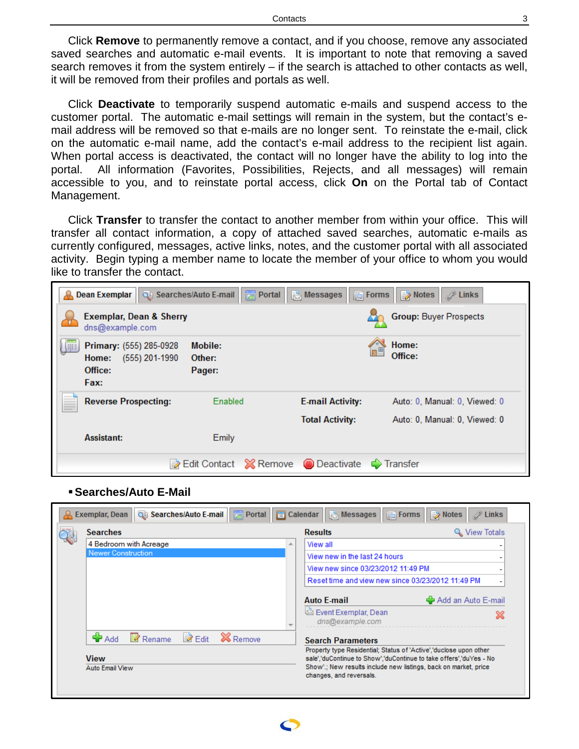Click **Remove** to permanently remove a contact, and if you choose, remove any associated saved searches and automatic e-mail events. It is important to note that removing a saved search removes it from the system entirely – if the search is attached to other contacts as well, it will be removed from their profiles and portals as well.

Click **Deactivate** to temporarily suspend automatic e-mails and suspend access to the customer portal. The automatic e-mail settings will remain in the system, but the contact's email address will be removed so that e-mails are no longer sent. To reinstate the e-mail, click on the automatic e-mail name, add the contact's e-mail address to the recipient list again. When portal access is deactivated, the contact will no longer have the ability to log into the portal. All information (Favorites, Possibilities, Rejects, and all messages) will remain accessible to you, and to reinstate portal access, click **On** on the Portal tab of Contact Management.

Click **Transfer** to transfer the contact to another member from within your office. This will transfer all contact information, a copy of attached saved searches, automatic e-mails as currently configured, messages, active links, notes, and the customer portal with all associated activity. Begin typing a member name to locate the member of your office to whom you would like to transfer the contact.



#### **Searches/Auto E-Mail**

| <b>Searches</b>        | <b>Results</b>                                    | ९ View Totals      |
|------------------------|---------------------------------------------------|--------------------|
| 4 Bedroom with Acreage | View all<br>∸                                     |                    |
| Newer Construction     | View new in the last 24 hours                     |                    |
|                        | View new since 03/23/2012 11:49 PM                |                    |
|                        | Reset time and view new since 03/23/2012 11:49 PM |                    |
|                        | <b>Auto E-mail</b>                                |                    |
|                        | Event Exemplar, Dean<br>dns@example.com           | Add an Auto E-mail |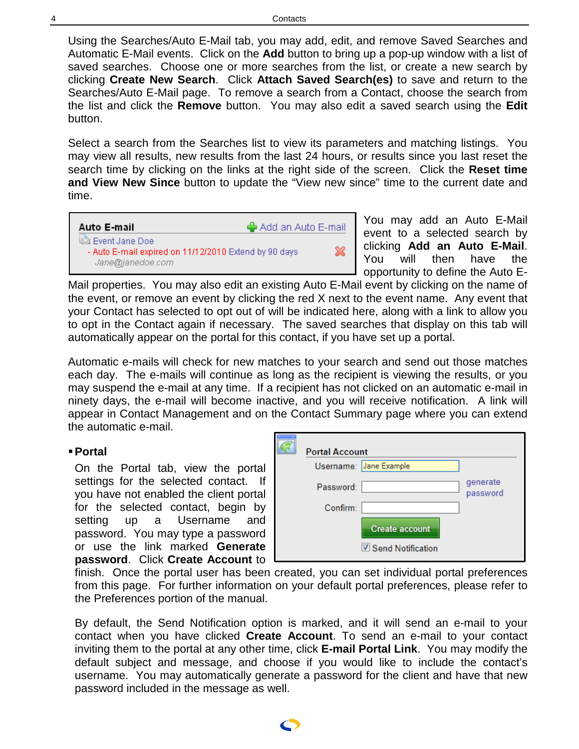Using the Searches/Auto E-Mail tab, you may add, edit, and remove Saved Searches and Automatic E-Mail events. Click on the **Add** button to bring up a pop-up window with a list of saved searches. Choose one or more searches from the list, or create a new search by clicking **Create New Search**. Click **Attach Saved Search(es)** to save and return to the Searches/Auto E-Mail page. To remove a search from a Contact, choose the search from the list and click the **Remove** button. You may also edit a saved search using the **Edit**  button.

Select a search from the Searches list to view its parameters and matching listings. You may view all results, new results from the last 24 hours, or results since you last reset the search time by clicking on the links at the right side of the screen. Click the **Reset time and View New Since** button to update the "View new since" time to the current date and time.

վ Add an Auto E-mail

✖

## Auto E-mail

Event Jane Doe - Auto E-mail expired on 11/12/2010 Extend by 90 days Jane@janedoe.com

You may add an Auto E-Mail event to a selected search by clicking **Add an Auto E-Mail**. You will then have the opportunity to define the Auto E-

Mail properties. You may also edit an existing Auto E-Mail event by clicking on the name of the event, or remove an event by clicking the red X next to the event name. Any event that your Contact has selected to opt out of will be indicated here, along with a link to allow you to opt in the Contact again if necessary. The saved searches that display on this tab will automatically appear on the portal for this contact, if you have set up a portal.

Automatic e-mails will check for new matches to your search and send out those matches each day. The e-mails will continue as long as the recipient is viewing the results, or you may suspend the e-mail at any time. If a recipient has not clicked on an automatic e-mail in ninety days, the e-mail will become inactive, and you will receive notification. A link will appear in Contact Management and on the Contact Summary page where you can extend the automatic e-mail.

# **Portal**

On the Portal tab, view the portal settings for the selected contact. If you have not enabled the client portal for the selected contact, begin by setting up a Username and password. You may type a password or use the link marked **Generate password**. Click **Create Account** to

| <b>Portal Account</b> |                            |                      |
|-----------------------|----------------------------|----------------------|
|                       | Username: Jane Example     |                      |
| Password:             |                            | generate<br>password |
| Confirm:              |                            |                      |
|                       | <b>Create account</b>      |                      |
|                       | <b>√ Send Notification</b> |                      |

finish. Once the portal user has been created, you can set individual portal preferences from this page. For further information on your default portal preferences, please refer to the Preferences portion of the manual.

By default, the Send Notification option is marked, and it will send an e-mail to your contact when you have clicked **Create Account**. To send an e-mail to your contact inviting them to the portal at any other time, click **E-mail Portal Link**. You may modify the default subject and message, and choose if you would like to include the contact's username. You may automatically generate a password for the client and have that new password included in the message as well.

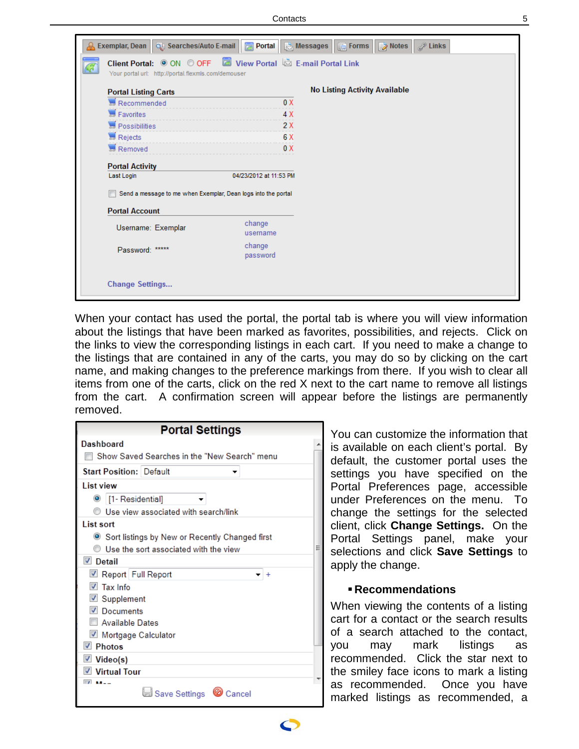| Client Portal: O ON O OFF <b>O</b> View Portal <b>D</b> E-mail Portal Link<br>КÑ<br>Your portal url: http://portal.flexmls.com/demouser |                        |                                      |  |
|-----------------------------------------------------------------------------------------------------------------------------------------|------------------------|--------------------------------------|--|
| <b>Portal Listing Carts</b>                                                                                                             |                        | <b>No Listing Activity Available</b> |  |
| Recommended                                                                                                                             | 0 X                    |                                      |  |
| Favorites                                                                                                                               | 4 X                    |                                      |  |
| Possibilities                                                                                                                           | 2X                     |                                      |  |
| Rejects                                                                                                                                 | 6 X                    |                                      |  |
| Removed                                                                                                                                 | 0 X                    |                                      |  |
| <b>Portal Activity</b><br>Last Login                                                                                                    | 04/23/2012 at 11:53 PM |                                      |  |
| Send a message to me when Exemplar, Dean logs into the portal                                                                           |                        |                                      |  |
| <b>Portal Account</b>                                                                                                                   |                        |                                      |  |
|                                                                                                                                         | change                 |                                      |  |
| Username: Exemplar                                                                                                                      | username               |                                      |  |
| Password: *****                                                                                                                         | change<br>password     |                                      |  |

When your contact has used the portal, the portal tab is where you will view information about the listings that have been marked as favorites, possibilities, and rejects. Click on the links to view the corresponding listings in each cart. If you need to make a change to the listings that are contained in any of the carts, you may do so by clicking on the cart name, and making changes to the preference markings from there. If you wish to clear all items from one of the carts, click on the red X next to the cart name to remove all listings from the cart. A confirmation screen will appear before the listings are permanently removed.

| <b>Portal Settings</b>                           |
|--------------------------------------------------|
| Dashboard                                        |
| Show Saved Searches in the "New Search" menu     |
| <b>Start Position: Default</b>                   |
| <b>List view</b>                                 |
| <sup>1</sup> [1- Residential]                    |
| Use view associated with search/link             |
| List sort                                        |
| ◉ Sort listings by New or Recently Changed first |
| Ise the sort associated with the view            |
| $\nabla$ Detail                                  |
| Report Full Report                               |
| $\nabla$ Tax Info                                |
| <b>■</b> Supplement                              |
| <b>V</b> Documents                               |
| Available Dates                                  |
| ☑ Mortgage Calculator                            |
| $\triangledown$ Photos                           |
| <b>Video(s)</b>                                  |
| <b>▼</b> Virtual Tour                            |
|                                                  |
| Save Settings<br>Cancel                          |

You can customize the information that is available on each client's portal. By default, the customer portal uses the settings you have specified on the Portal Preferences page, accessible under Preferences on the menu. To change the settings for the selected client, click **Change Settings.** On the Portal Settings panel, make your selections and click **Save Settings** to apply the change.

#### **Recommendations**

When viewing the contents of a listing cart for a contact or the search results of a search attached to the contact, you may mark listings as recommended. Click the star next to the smiley face icons to mark a listing as recommended. Once you have marked listings as recommended, a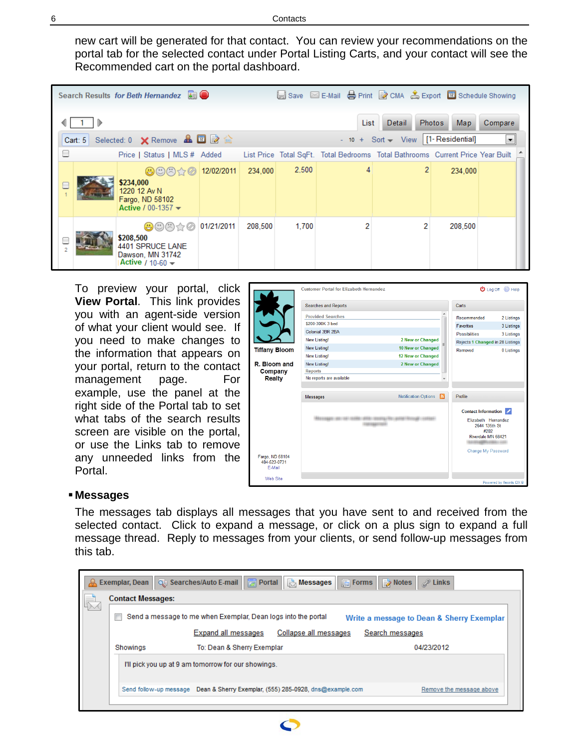new cart will be generated for that contact. You can review your recommendations on the portal tab for the selected contact under Portal Listing Carts, and your contact will see the Recommended cart on the portal dashboard.

|                                                   |           | Search Results for Beth Hernandez <b>All</b>                                                                                                            |            |         |       |  |                                                                                |         |                |  |
|---------------------------------------------------|-----------|---------------------------------------------------------------------------------------------------------------------------------------------------------|------------|---------|-------|--|--------------------------------------------------------------------------------|---------|----------------|--|
| List<br><b>Photos</b><br>Detail<br>Compare<br>Map |           |                                                                                                                                                         |            |         |       |  |                                                                                |         |                |  |
|                                                   | Cart: $5$ | Selected: 0 X Remove & <b>E</b> 2                                                                                                                       |            |         |       |  | - $10 + \text{Sort} \rightarrow \text{View}$ [1-Residential]                   |         | $\blacksquare$ |  |
| ⊟                                                 |           | Price   Status   MLS # Added                                                                                                                            |            |         |       |  | List Price Total SqFt. Total Bedrooms Total Bathrooms Current Price Year Built |         |                |  |
|                                                   |           | $\oplus$ $\oplus$ $\oplus$<br>\$234,000<br>1220 12 Av N<br>Fargo, ND 58102<br>Active / 00-1357 $\blacktriangledown$                                     | 12/02/2011 | 234,000 | 2.500 |  | 2                                                                              | 234,000 |                |  |
| $\overline{2}$                                    |           | $\bigoplus$ $\bigoplus$ $\bigoplus$ $\bigotimes$ $\bigotimes$ 01/21/2011<br>\$208,500<br>4401 SPRUCE LANE<br>Dawson, MN 31742<br>Active / 10-60 $\star$ |            | 208,500 | 1,700 |  |                                                                                | 208,500 |                |  |

To preview your portal, click **View Portal**. This link provides you with an agent-side version of what your client would see. If you need to make changes to the information that appears on your portal, return to the contact management page. For example, use the panel at the right side of the Portal tab to set what tabs of the search results screen are visible on the portal, or use the Links tab to remove any unneeded links from the Portal.

|                      | <b>Customer Portal for Elizabeth Hernandez</b> |                                |     |                                      | <b>U</b> Log Off <b>P</b> Help |
|----------------------|------------------------------------------------|--------------------------------|-----|--------------------------------------|--------------------------------|
|                      | <b>Searches and Reports</b>                    |                                |     | Carts                                |                                |
|                      | <b>Provided Searches</b><br>\$200-300K 3 bed   |                                |     | Recommended                          | 2 Listings                     |
|                      | Colonial 3BR 2BA                               |                                |     | <b>Favorites</b>                     | 3 Listings                     |
|                      | <b>New Listing!</b>                            | 2 New or Changed               |     | <b>Possibilities</b>                 | 3 Listings                     |
|                      |                                                |                                | ×.  | Rejects 1 Changed in 28 Listings     |                                |
| <b>Tiffany Bloom</b> | New Listing!                                   | 10 New or Changed              |     | Removed                              | 0 Listings                     |
|                      | <b>New Listing!</b>                            | 12 New or Changed              |     |                                      |                                |
| R. Bloom and         | <b>New Listing!</b>                            | 2 New or Changed               |     |                                      |                                |
| Company              | <b>Reports</b>                                 |                                |     |                                      |                                |
| <b>Realty</b>        | No reports are available                       |                                |     |                                      |                                |
|                      |                                                |                                |     |                                      |                                |
|                      | <b>Messages</b>                                | <b>Notification Options</b>    | והו | Profile                              |                                |
|                      |                                                |                                |     |                                      |                                |
|                      |                                                |                                |     | Contact Information                  |                                |
|                      |                                                | TRENTOLI FREI LIBERART RESSUEL |     | Elizabeth Hernandez<br>2644 135th St |                                |
|                      |                                                |                                |     | #202                                 |                                |
|                      |                                                |                                |     | Riverdale MN 68421                   |                                |
|                      |                                                |                                |     |                                      |                                |
| Fargo, ND 58104      |                                                |                                |     | Change My Password                   |                                |
| 484-523-0731         |                                                |                                |     |                                      |                                |
| E-Mail               |                                                |                                |     |                                      |                                |
| <b>Web Site</b>      |                                                |                                |     |                                      |                                |
|                      |                                                |                                |     |                                      | Powered by flexmls IDX ®       |

#### **Messages**

The messages tab displays all messages that you have sent to and received from the selected contact. Click to expand a message, or click on a plus sign to expand a full message thread. Reply to messages from your clients, or send follow-up messages from this tab.

| A | Exemplar, Dean           | Q Searches/Auto E-mail   A Portal   A Messages   A Forms   A Notes | $\mathscr{D}$ Links                       |
|---|--------------------------|--------------------------------------------------------------------|-------------------------------------------|
|   | <b>Contact Messages:</b> |                                                                    |                                           |
|   |                          | Send a message to me when Exemplar, Dean logs into the portal      | Write a message to Dean & Sherry Exemplar |
|   |                          | Expand all messages<br>Collapse all messages                       | Search messages                           |
|   |                          |                                                                    |                                           |
|   | Showings                 | To: Dean & Sherry Exemplar                                         | 04/23/2012                                |
|   |                          | I'll pick you up at 9 am tomorrow for our showings.                |                                           |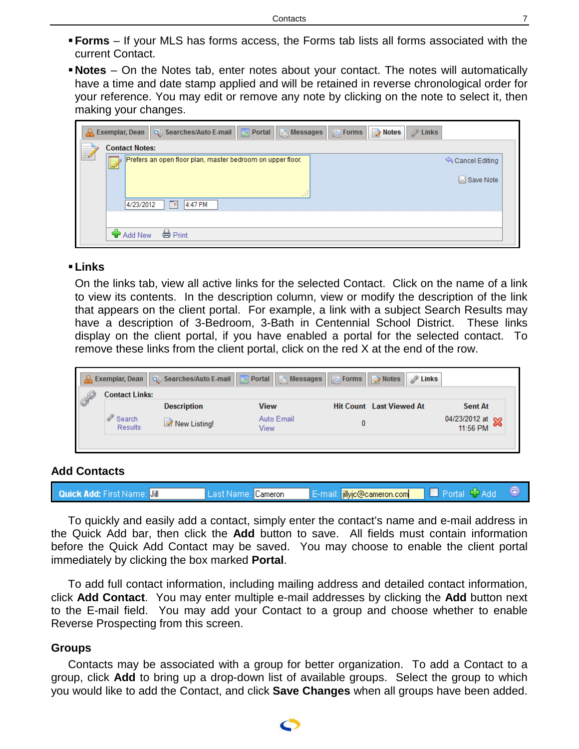- **Forms** If your MLS has forms access, the Forms tab lists all forms associated with the current Contact.
- **Notes** On the Notes tab, enter notes about your contact. The notes will automatically have a time and date stamp applied and will be retained in reverse chronological order for your reference. You may edit or remove any note by clicking on the note to select it, then making your changes.

| A Exemplar, Dean   Qt, Searches/Auto E-mail   a Portal   a Messages   G Forms   a Notes   P Links |                |
|---------------------------------------------------------------------------------------------------|----------------|
| <b>Contact Notes:</b>                                                                             |                |
| Prefers an open floor plan, master bedroom on upper floor.<br>w                                   | Cancel Editing |
|                                                                                                   | ISave Note     |
| $\mathbb{R}$<br>888<br>4/23/2012<br>4:47 PM                                                       |                |
| <b>FRI</b>                                                                                        |                |
| ← Add New ↓ Print                                                                                 |                |

#### **Links**

On the links tab, view all active links for the selected Contact. Click on the name of a link to view its contents. In the description column, view or modify the description of the link that appears on the client portal. For example, a link with a subject Search Results may have a description of 3-Bedroom, 3-Bath in Centennial School District. These links display on the client portal, if you have enabled a portal for the selected contact. To remove these links from the client portal, click on the red X at the end of the row.

| <b>Exemplar, Dean</b>    | Q Searches/Auto E-mail   <mark>★</mark> Portal   ★ Messages   G Forms   ★ Notes |                    | $\mathbb{Z}$ Links              |                                               |
|--------------------------|---------------------------------------------------------------------------------|--------------------|---------------------------------|-----------------------------------------------|
| <b>Contact Links:</b>    |                                                                                 |                    |                                 |                                               |
|                          | <b>Description</b>                                                              | View               | <b>Hit Count Last Viewed At</b> | <b>Sent At</b>                                |
| Search<br><b>Results</b> | New Listing!                                                                    | Auto Email<br>View |                                 | 04/23/2012 at $\approx$<br>$\sim$<br>11:56 PM |
|                          |                                                                                 |                    |                                 |                                               |

#### <span id="page-6-0"></span>**Add Contacts**

| <b>Quick Add:</b> First Name: <b>Jill</b> | Last Name:   Cameron | <b>iillyjc@cameron.com</b><br>TF-mail: |  |
|-------------------------------------------|----------------------|----------------------------------------|--|
|                                           |                      |                                        |  |

To quickly and easily add a contact, simply enter the contact's name and e-mail address in the Quick Add bar, then click the **Add** button to save. All fields must contain information before the Quick Add Contact may be saved. You may choose to enable the client portal immediately by clicking the box marked **Portal**.

To add full contact information, including mailing address and detailed contact information, click **Add Contact**. You may enter multiple e-mail addresses by clicking the **Add** button next to the E-mail field. You may add your Contact to a group and choose whether to enable Reverse Prospecting from this screen.

#### <span id="page-6-1"></span>**Groups**

Contacts may be associated with a group for better organization. To add a Contact to a group, click **Add** to bring up a drop-down list of available groups. Select the group to which you would like to add the Contact, and click **Save Changes** when all groups have been added.

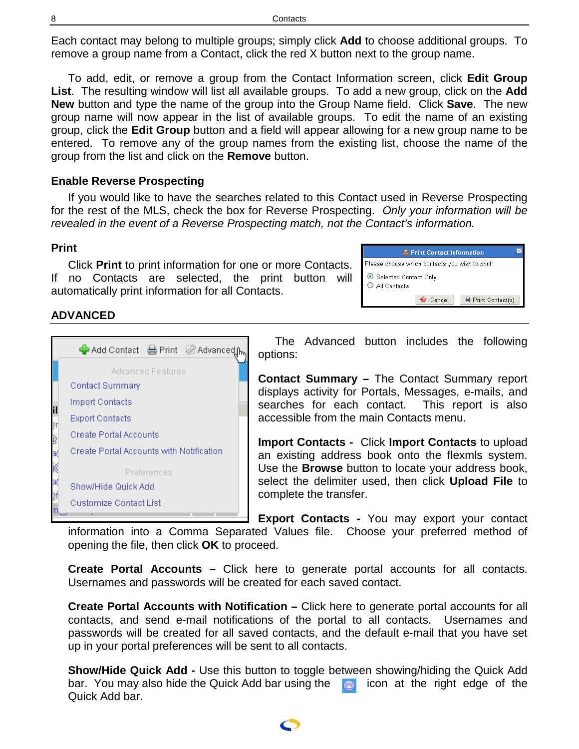Each contact may belong to multiple groups; simply click **Add** to choose additional groups. To remove a group name from a Contact, click the red X button next to the group name.

To add, edit, or remove a group from the Contact Information screen, click **Edit Group List**. The resulting window will list all available groups. To add a new group, click on the **Add New** button and type the name of the group into the Group Name field. Click **Save**. The new group name will now appear in the list of available groups. To edit the name of an existing group, click the **Edit Group** button and a field will appear allowing for a new group name to be entered. To remove any of the group names from the existing list, choose the name of the group from the list and click on the **Remove** button.

## <span id="page-7-0"></span>**Enable Reverse Prospecting**

If you would like to have the searches related to this Contact used in Reverse Prospecting for the rest of the MLS, check the box for Reverse Prospecting. *Only your information will be revealed in the event of a Reverse Prospecting match, not the Contact's information.*

### <span id="page-7-1"></span>**Print**

Click **Print** to print information for one or more Contacts. If no Contacts are selected, the print button will automatically print information for all Contacts.

| <b>A.</b> Print Contact Information             |        |                    |  |  |  |  |
|-------------------------------------------------|--------|--------------------|--|--|--|--|
| Please choose which contacts you wish to print: |        |                    |  |  |  |  |
| Selected Contact Only<br>All Contacts           |        |                    |  |  |  |  |
|                                                 | Cancel | 봉 Print Contact(s) |  |  |  |  |

## <span id="page-7-2"></span>**ADVANCED**



The Advanced button includes the following options:

**Contact Summary –** The Contact Summary report displays activity for Portals, Messages, e-mails, and searches for each contact. This report is also accessible from the main Contacts menu.

**Import Contacts -** Click **Import Contacts** to upload an existing address book onto the flexmls system. Use the **Browse** button to locate your address book, select the delimiter used, then click **Upload File** to complete the transfer.

**Export Contacts -** You may export your contact

information into a Comma Separated Values file. Choose your preferred method of opening the file, then click **OK** to proceed.

**Create Portal Accounts –** Click here to generate portal accounts for all contacts. Usernames and passwords will be created for each saved contact.

**Create Portal Accounts with Notification –** Click here to generate portal accounts for all contacts, and send e-mail notifications of the portal to all contacts. Usernames and passwords will be created for all saved contacts, and the default e-mail that you have set up in your portal preferences will be sent to all contacts.

**Show/Hide Quick Add -** Use this button to toggle between showing/hiding the Quick Add bar. You may also hide the Quick Add bar using the  $\Box$  icon at the right edge of the Quick Add bar.

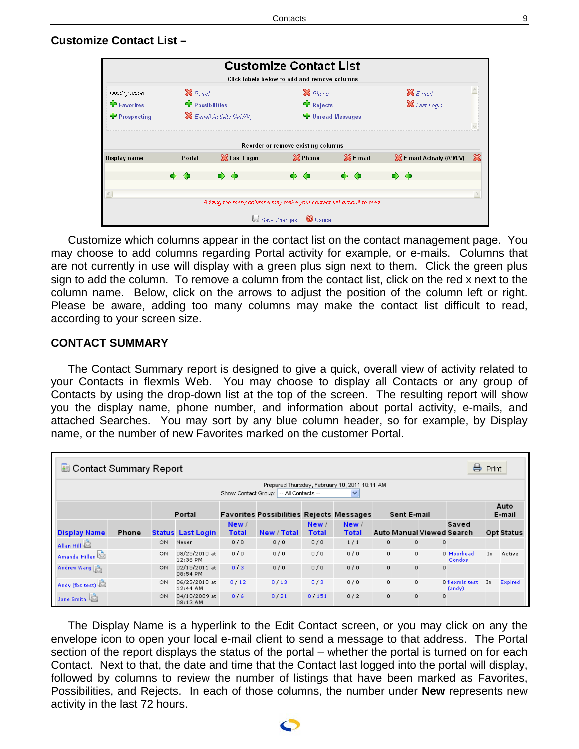# <span id="page-8-0"></span>**Customize Contact List –**



Customize which columns appear in the contact list on the contact management page. You may choose to add columns regarding Portal activity for example, or e-mails. Columns that are not currently in use will display with a green plus sign next to them. Click the green plus sign to add the column. To remove a column from the contact list, click on the red x next to the column name. Below, click on the arrows to adjust the position of the column left or right. Please be aware, adding too many columns may make the contact list difficult to read, according to your screen size.

## <span id="page-8-1"></span>**CONTACT SUMMARY**

The Contact Summary report is designed to give a quick, overall view of activity related to your Contacts in flexmls Web. You may choose to display all Contacts or any group of Contacts by using the drop-down list at the top of the screen. The resulting report will show you the display name, phone number, and information about portal activity, e-mails, and attached Searches. You may sort by any blue column header, so for example, by Display name, or the number of new Favorites marked on the customer Portal.

| ᇦ<br><b>Contact Summary Report</b>                                                                        |       |     |                           |                       |                                                 |                       | Print                 |          |             |         |                                    |    |                   |
|-----------------------------------------------------------------------------------------------------------|-------|-----|---------------------------|-----------------------|-------------------------------------------------|-----------------------|-----------------------|----------|-------------|---------|------------------------------------|----|-------------------|
| Prepared Thursday, February 10, 2011 10:11 AM<br>Show Contact Group:   -- All Contacts --<br>$\checkmark$ |       |     |                           |                       |                                                 |                       |                       |          |             |         |                                    |    |                   |
|                                                                                                           |       |     | Portal                    |                       | <b>Favorites Possibilities Rejects Messages</b> |                       |                       |          | Sent E-mail |         |                                    |    | Auto<br>E-mail    |
| <b>Display Name</b>                                                                                       | Phone |     | <b>Status Last Login</b>  | New /<br><b>Total</b> | New / Total                                     | New /<br><b>Total</b> | New /<br><b>Total</b> |          |             |         | Saved<br>Auto Manual Viewed Search |    | <b>Opt Status</b> |
| Allan Hill                                                                                                |       | ON  | Never                     | 0/0                   | 0/0                                             | 0/0                   | 1/1                   | $\circ$  | $\Omega$    | $\circ$ |                                    |    |                   |
| Amanda Hillen                                                                                             |       | ON  | 08/25/2010 at<br>12:36 PM | 0/0                   | 0/0                                             | 0/0                   | 0/0                   | 0        | $\Omega$    |         | 0 Moorhead<br>Condos               | In | Active            |
| Andrew Wang                                                                                               |       | ON  | 02/15/2011 at<br>08:54 PM | 0/3                   | 0/0                                             | 0/0                   | 0/0                   | $\Omega$ | $\Omega$    | $\circ$ |                                    |    |                   |
| Andy (fbs test)                                                                                           |       | ON. | 06/23/2010 at<br>12:44 AM | 0/12                  | 0/13                                            | 0/3                   | 0/0                   | $\circ$  | $\Omega$    |         | 0 flexmls test<br>(andy)           | In | Expired           |
| Jane Smith                                                                                                |       | ON  | 04/10/2009 at<br>08:13 AM | 0/6                   | 0/21                                            | 0/151                 | 0/2                   | $\circ$  | $\mathbf 0$ | $\circ$ |                                    |    |                   |

The Display Name is a hyperlink to the Edit Contact screen, or you may click on any the envelope icon to open your local e-mail client to send a message to that address. The Portal section of the report displays the status of the portal – whether the portal is turned on for each Contact. Next to that, the date and time that the Contact last logged into the portal will display, followed by columns to review the number of listings that have been marked as Favorites, Possibilities, and Rejects. In each of those columns, the number under **New** represents new activity in the last 72 hours.

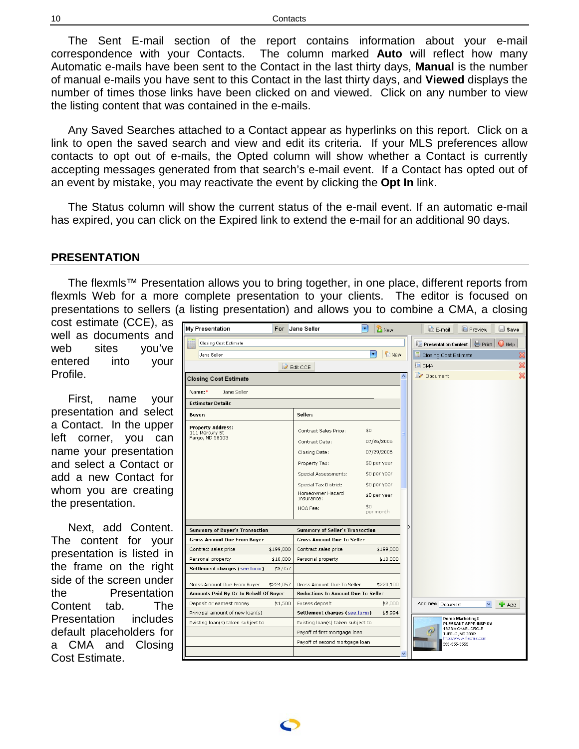The Sent E-mail section of the report contains information about your e-mail correspondence with your Contacts. The column marked **Auto** will reflect how many Automatic e-mails have been sent to the Contact in the last thirty days, **Manual** is the number of manual e-mails you have sent to this Contact in the last thirty days, and **Viewed** displays the number of times those links have been clicked on and viewed. Click on any number to view the listing content that was contained in the e-mails.

Any Saved Searches attached to a Contact appear as hyperlinks on this report. Click on a link to open the saved search and view and edit its criteria. If your MLS preferences allow contacts to opt out of e-mails, the Opted column will show whether a Contact is currently accepting messages generated from that search's e-mail event. If a Contact has opted out of an event by mistake, you may reactivate the event by clicking the **Opt In** link.

The Status column will show the current status of the e-mail event. If an automatic e-mail has expired, you can click on the Expired link to extend the e-mail for an additional 90 days.

#### <span id="page-9-0"></span>**PRESENTATION**

The flexmls™ Presentation allows you to bring together, in one place, different reports from flexmls Web for a more complete presentation to your clients. The editor is focused on presentations to sellers (a listing presentation) and allows you to combine a CMA, a closing

cost estimate (CCE), as well as documents and web sites you've entered into your Profile.

First, name your presentation and select a Contact. In the upper left corner, you can name your presentation and select a Contact or add a new Contact for whom you are creating the presentation.

Next, add Content. The content for your presentation is listed in the frame on the right side of the screen under the Presentation Content tab. The Presentation includes default placeholders for a CMA and Closing Cost Estimate.

| My Presentation                                               |           | For Jane Seller                                          | ٠<br><b>B</b> New               | E-mail                         | <b>Preview</b>                          | <b>Save</b>               |
|---------------------------------------------------------------|-----------|----------------------------------------------------------|---------------------------------|--------------------------------|-----------------------------------------|---------------------------|
| Closing Cost Estimate                                         |           |                                                          |                                 | Presentation Content   S Print |                                         | $\bigcirc$ Help           |
| Jane Seller                                                   |           |                                                          | ٠<br><b>D</b> New               | Closing Cost Estimate          |                                         | X                         |
|                                                               |           | <b>Z</b> Edit CCE                                        |                                 | <b>CMA</b>                     |                                         | $\boldsymbol{\mathbb{X}}$ |
| <b>Closing Cost Estimate</b>                                  |           |                                                          | ۸                               | $\rightarrow$ Document         |                                         | $\boldsymbol{\mathbb{X}}$ |
| Name:*<br>Jane Seller                                         |           |                                                          |                                 |                                |                                         |                           |
| <b>Estimator Details</b>                                      |           |                                                          |                                 |                                |                                         |                           |
| Buyer:                                                        |           | Seller:                                                  |                                 |                                |                                         |                           |
| <b>Property Address:</b><br>111 Mercury St<br>Fargo, ND 58103 |           | Contract Sales Price:<br>Contract Date:<br>Closing Date: | \$0<br>07/26/2006<br>07/29/2006 |                                |                                         |                           |
|                                                               |           | Property Tax:                                            | \$0 per year                    |                                |                                         |                           |
|                                                               |           | Special Assessments:                                     | \$0 per year                    |                                |                                         |                           |
|                                                               |           | Special Tax District:                                    | \$0 per year                    |                                |                                         |                           |
|                                                               |           | Homeowner Hazard<br>Insurance:                           | \$0 per year                    |                                |                                         |                           |
|                                                               |           | HOA Fee:                                                 | \$0<br>per month                |                                |                                         |                           |
| Summary of Buyer's Transaction                                |           | <b>Summary of Seller's Transaction</b>                   |                                 |                                |                                         |                           |
| <b>Gross Amount Due From Buyer</b>                            |           | <b>Gross Amount Due To Seller</b>                        |                                 |                                |                                         |                           |
| Contract sales price                                          | \$199,800 | Contract sales price                                     | \$199,800                       |                                |                                         |                           |
| Personal property                                             | \$10,000  | Personal property                                        | \$10,000                        |                                |                                         |                           |
| Settlement charges (see form)                                 | \$3,957   |                                                          |                                 |                                |                                         |                           |
| Gross Amount Due From Buyer                                   | \$224,057 | Gross Amount Due To Seller                               | \$220,100                       |                                |                                         |                           |
| Amounts Paid By Or In Behalf Of Buyer                         |           | <b>Reductions In Amount Due To Seller</b>                |                                 |                                |                                         |                           |
| Deposit or earnest money                                      | \$1,500   | Excess deposit                                           | \$2,000                         | Add new Document               | $\checkmark$                            | $\bigoplus$ Add           |
| Principal amount of new loan(s)                               |           | Settlement charges (see form)                            | \$5,994                         |                                | Demo Marketing3                         |                           |
| Existing loan(s) taken subject to                             |           | Existing loan(s) taken subject to                        |                                 |                                | PLEASANT APPR-INSP SV                   |                           |
|                                                               |           | Payoff of first mortgage loan                            |                                 |                                | 1333 MICHAEL CIRCLE<br>TUPELO, MS 38801 |                           |
|                                                               |           | Payoff of second mortgage loan                           |                                 | 555-555-5555                   | http://www.flexnis.com                  |                           |
|                                                               |           |                                                          |                                 |                                |                                         |                           |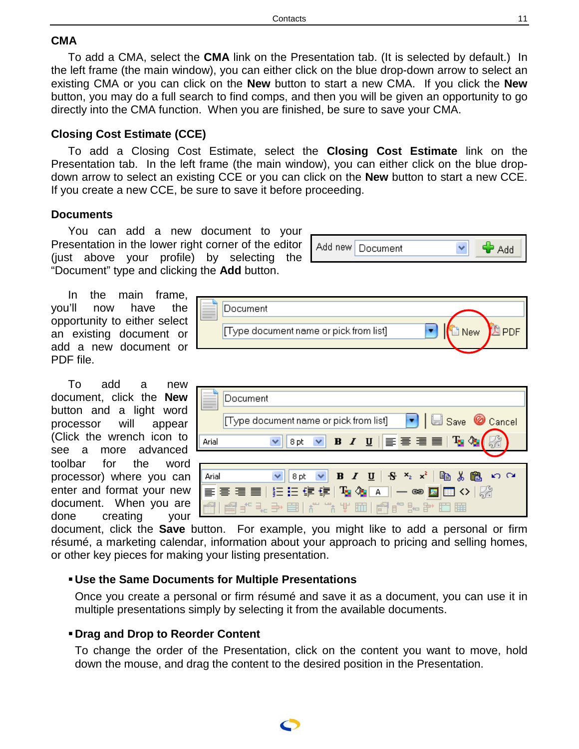### <span id="page-10-0"></span>**CMA**

To add a CMA, select the **CMA** link on the Presentation tab. (It is selected by default.) In the left frame (the main window), you can either click on the blue drop-down arrow to select an existing CMA or you can click on the **New** button to start a new CMA. If you click the **New** button, you may do a full search to find comps, and then you will be given an opportunity to go directly into the CMA function. When you are finished, be sure to save your CMA.

## <span id="page-10-1"></span>**Closing Cost Estimate (CCE)**

To add a Closing Cost Estimate, select the **Closing Cost Estimate** link on the Presentation tab. In the left frame (the main window), you can either click on the blue dropdown arrow to select an existing CCE or you can click on the **New** button to start a new CCE. If you create a new CCE, be sure to save it before proceeding.

## <span id="page-10-2"></span>**Documents**

You can add a new document to your Presentation in the lower right corner of the editor (just above your profile) by selecting the "Document" type and clicking the **Add** button.

In the main frame, you'll now have the opportunity to either select an existing document or add a new document or PDF file.

To add a new document, click the **New** button and a light word processor will appear (Click the wrench icon to see a more advanced toolbar for the word processor) where you can enter and format your new document. When you are done creating your Document **A** PDF Type document name or pick from list] ٠ ∃ New

Add new | Document

v

ਵੰ Add

| Document                                                                                       |  |
|------------------------------------------------------------------------------------------------|--|
| Type document name or pick from list] $\bullet$ $\bullet$ $\bullet$ Save $\circledcirc$ Cancel |  |
| VB/U  ≣≣≣≣ Tg Og<br>Arial<br>8 pt                                                              |  |
|                                                                                                |  |
| Arial                                                                                          |  |
| <mark>≣膏膏■│扫扫使使│ 「q Qq A │ ─ ∞ Q</mark> ⊞ ◇│                                                   |  |
| <i>@</i> ▌▞▚ <u>ᢣ</u> ⊟▌▞▝▞▕▏▥▏@▌▞▚▞▕⊡ ⊞                                                       |  |

document, click the **Save** button. For example, you might like to add a personal or firm résumé, a marketing calendar, information about your approach to pricing and selling homes, or other key pieces for making your listing presentation.

## **Use the Same Documents for Multiple Presentations**

Once you create a personal or firm résumé and save it as a document, you can use it in multiple presentations simply by selecting it from the available documents.

#### **Drag and Drop to Reorder Content**

To change the order of the Presentation, click on the content you want to move, hold down the mouse, and drag the content to the desired position in the Presentation.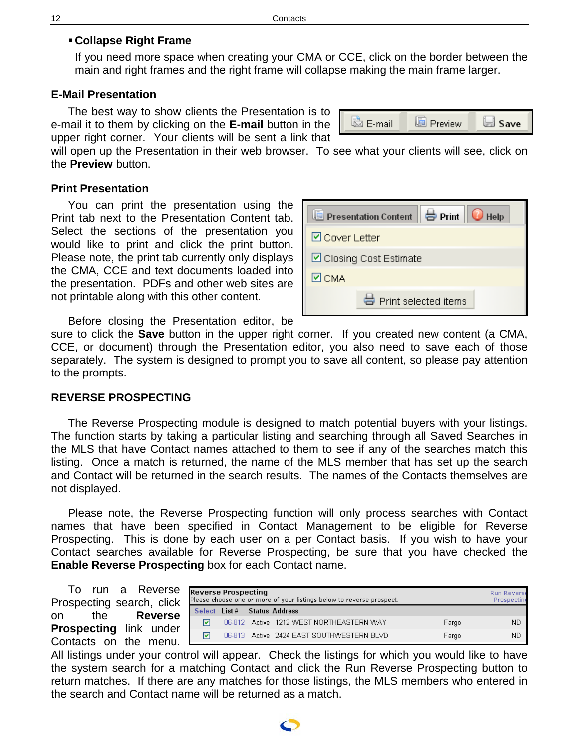## **Collapse Right Frame**

If you need more space when creating your CMA or CCE, click on the border between the main and right frames and the right frame will collapse making the main frame larger.

## <span id="page-11-0"></span>**E-Mail Presentation**

The best way to show clients the Presentation is to e-mail it to them by clicking on the **E-mail** button in the upper right corner. Your clients will be sent a link that



will open up the Presentation in their web browser. To see what your clients will see, click on the **Preview** button.

### <span id="page-11-1"></span>**Print Presentation**

You can print the presentation using the Print tab next to the Presentation Content tab. Select the sections of the presentation you would like to print and click the print button. Please note, the print tab currently only displays the CMA, CCE and text documents loaded into the presentation. PDFs and other web sites are not printable along with this other content.

| Presentation Content   Print   O Help |                         |  |  |  |  |
|---------------------------------------|-------------------------|--|--|--|--|
| $\boxdot$ Cover Letter                |                         |  |  |  |  |
|                                       | ☑ Closing Cost Estimate |  |  |  |  |
| ⊠ сма                                 |                         |  |  |  |  |
|                                       | 号 Print selected items  |  |  |  |  |

Before closing the Presentation editor, be

sure to click the **Save** button in the upper right corner. If you created new content (a CMA, CCE, or document) through the Presentation editor, you also need to save each of those separately. The system is designed to prompt you to save all content, so please pay attention to the prompts.

#### <span id="page-11-2"></span>**REVERSE PROSPECTING**

The Reverse Prospecting module is designed to match potential buyers with your listings. The function starts by taking a particular listing and searching through all Saved Searches in the MLS that have Contact names attached to them to see if any of the searches match this listing. Once a match is returned, the name of the MLS member that has set up the search and Contact will be returned in the search results. The names of the Contacts themselves are not displayed.

Please note, the Reverse Prospecting function will only process searches with Contact names that have been specified in Contact Management to be eligible for Reverse Prospecting. This is done by each user on a per Contact basis. If you wish to have your Contact searches available for Reverse Prospecting, be sure that you have checked the **Enable Reverse Prospecting** box for each Contact name.

To run a Reverse Prospecting search, click on the **Reverse Prospecting** link under Contacts on the menu.

| <b>Reverse Prospecting</b><br>Please choose one or more of your listings below to reverse prospect. |                              |  |                                           |       | <b>Run Reverse</b><br>Prospecting |
|-----------------------------------------------------------------------------------------------------|------------------------------|--|-------------------------------------------|-------|-----------------------------------|
|                                                                                                     | Select List # Status Address |  |                                           |       |                                   |
| M                                                                                                   |                              |  | 06-812 Active 1212 WEST NORTHEASTERN WAY  | Fargo | ΝD                                |
| ▿                                                                                                   |                              |  | 06-813 Active 2424 EAST SOUTHWESTERN BLVD | Fargo | ΝD                                |

All listings under your control will appear. Check the listings for which you would like to have the system search for a matching Contact and click the Run Reverse Prospecting button to return matches. If there are any matches for those listings, the MLS members who entered in the search and Contact name will be returned as a match.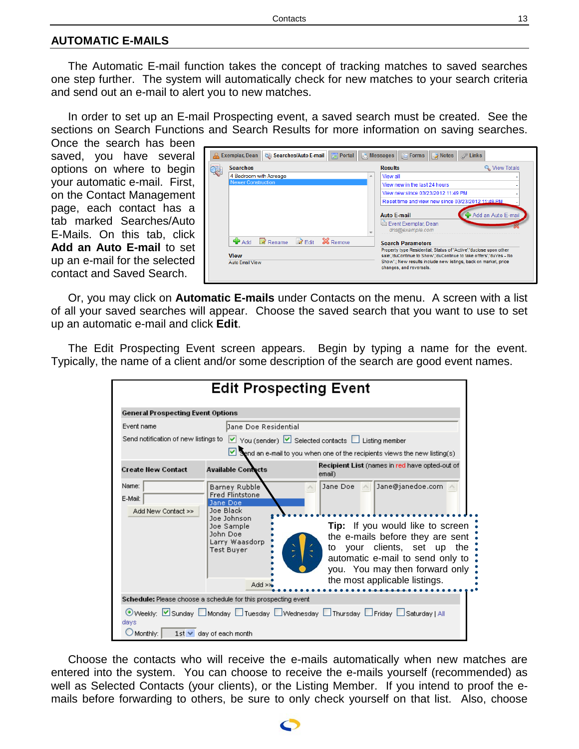#### <span id="page-12-0"></span>**AUTOMATIC E-MAILS**

The Automatic E-mail function takes the concept of tracking matches to saved searches one step further. The system will automatically check for new matches to your search criteria and send out an e-mail to alert you to new matches.

In order to set up an E-mail Prospecting event, a saved search must be created. See the sections on Search Functions and Search Results for more information on saving searches.

Once the search has been saved, you have several options on where to begin your automatic e-mail. First, on the Contact Management page, each contact has a tab marked Searches/Auto E-Mails. On this tab, click **Add an Auto E-mail** to set up an e-mail for the selected contact and Saved Search.

|                                             |   | <b>C</b> Searches/Auto E-mail <b>n</b> Portal   <b>R</b> Messages   <b>C</b> Forms   2 Notes                                             |
|---------------------------------------------|---|------------------------------------------------------------------------------------------------------------------------------------------|
| <b>Searches</b>                             |   | <b>Results</b><br>& View Totals                                                                                                          |
| 4 Bedroom with Acreage                      | 未 | View all                                                                                                                                 |
| <b>Newer Construction</b>                   |   | View new in the last 24 hours                                                                                                            |
|                                             |   | View new since 03/23/2012 11:49 PM                                                                                                       |
|                                             |   | Reset time and view new since 03/23/2012 11:49 PM                                                                                        |
|                                             |   | Add an Auto E-mail<br><b>Auto E-mail</b>                                                                                                 |
|                                             |   | Event Exemplar, Dean<br>dns@example.com                                                                                                  |
| $\lambda$ Edit<br>X Remove<br>Add<br>Rename |   | <b>Search Parameters</b>                                                                                                                 |
| <b>View</b>                                 |   | Property type Residential; Status of 'Active', 'duclose upon other<br>sale','duContinue to Show','duContinue to take offers','duYes - No |
| <b>Auto Email View</b>                      |   | Show'.: New results include new listings, back on market, price<br>changes, and reversals.                                               |

Or, you may click on **Automatic E-mails** under Contacts on the menu. A screen with a list of all your saved searches will appear. Choose the saved search that you want to use to set up an automatic e-mail and click **Edit**.

The Edit Prospecting Event screen appears. Begin by typing a name for the event. Typically, the name of a client and/or some description of the search are good event names.

| <b>Edit Prospecting Event</b>                                 |                                                                       |                                                                                                                                                                                     |  |  |
|---------------------------------------------------------------|-----------------------------------------------------------------------|-------------------------------------------------------------------------------------------------------------------------------------------------------------------------------------|--|--|
| <b>General Prospecting Event Options</b>                      |                                                                       |                                                                                                                                                                                     |  |  |
| Event name                                                    | Dane Doe Residential                                                  |                                                                                                                                                                                     |  |  |
| Send notification of new listings to                          |                                                                       | $\vee$ You (sender) $\vee$ Selected contacts $\Box$ Listing member                                                                                                                  |  |  |
|                                                               |                                                                       | $\triangledown$ Send an e-mail to you when one of the recipients views the new listing(s)                                                                                           |  |  |
| <b>Create New Contact</b>                                     | <b>Available Contacts</b>                                             | Recipient List (names in red have opted-out of<br>email)                                                                                                                            |  |  |
| Name:<br>E-Mail:<br>Add New Contact >>                        | Barney Rubble<br><b>Fred Flintstone</b><br>Jane Doe<br>Joe Black      | Jane Doe<br>Jane@janedoe.com                                                                                                                                                        |  |  |
|                                                               | Joe Johnson<br>Joe Sample<br>John Doe<br>Larry Waasdorp<br>Test Buyer | <b>Tip:</b> If you would like to screen<br>the e-mails before they are sent<br>your clients, set up the<br>to<br>automatic e-mail to send only to<br>you. You may then forward only |  |  |
|                                                               | Add >⊁                                                                | the most applicable listings.                                                                                                                                                       |  |  |
| Schedule: Please choose a schedule for this prospecting event |                                                                       |                                                                                                                                                                                     |  |  |
| days<br>$\cup$ Monthly:                                       | $1st \vee$ day of each month                                          | ⊙Weekly: Munday LJMonday LJTuesday LJWednesday LJThursday LJFriday LJSaturday   All                                                                                                 |  |  |

Choose the contacts who will receive the e-mails automatically when new matches are entered into the system. You can choose to receive the e-mails yourself (recommended) as well as Selected Contacts (your clients), or the Listing Member. If you intend to proof the emails before forwarding to others, be sure to only check yourself on that list. Also, choose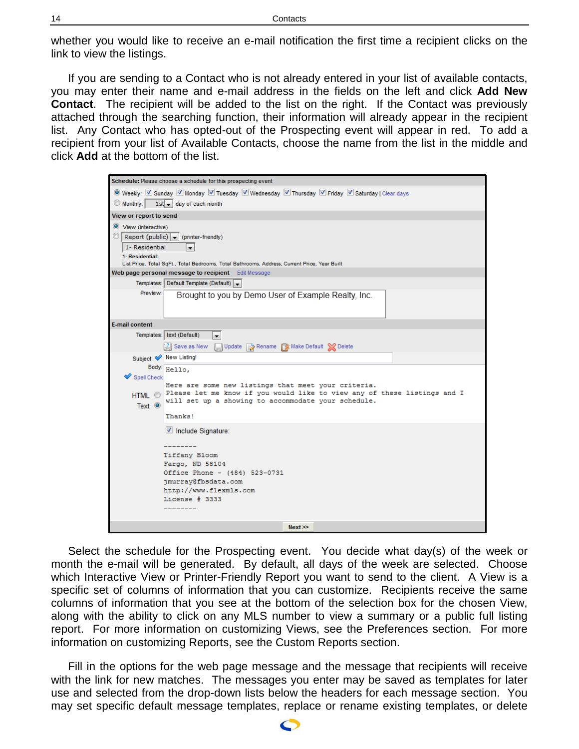whether you would like to receive an e-mail notification the first time a recipient clicks on the link to view the listings.

If you are sending to a Contact who is not already entered in your list of available contacts, you may enter their name and e-mail address in the fields on the left and click **Add New Contact**. The recipient will be added to the list on the right. If the Contact was previously attached through the searching function, their information will already appear in the recipient list. Any Contact who has opted-out of the Prospecting event will appear in red. To add a recipient from your list of Available Contacts, choose the name from the list in the middle and click **Add** at the bottom of the list.

| Schedule: Please choose a schedule for this prospecting event                                                                                       |  |  |  |  |  |
|-----------------------------------------------------------------------------------------------------------------------------------------------------|--|--|--|--|--|
| © Weekly: Ø Sunday Ø Monday Ø Tuesday Ø Wednesday Ø Thursday Ø Friday Ø Saturday   Clear days                                                       |  |  |  |  |  |
| $\circledcirc$ Monthly: $1$ st $\bullet$ day of each month                                                                                          |  |  |  |  |  |
| View or report to send                                                                                                                              |  |  |  |  |  |
| ◎ View (interactive)                                                                                                                                |  |  |  |  |  |
| Report (public) $\bullet$ (printer-friendly)                                                                                                        |  |  |  |  |  |
| 1- Residential<br>$\overline{\phantom{a}}$                                                                                                          |  |  |  |  |  |
| 1- Residential:                                                                                                                                     |  |  |  |  |  |
| List Price, Total SqFt., Total Bedrooms, Total Bathrooms, Address, Current Price, Year Built<br>Web page personal message to recipient Edit Message |  |  |  |  |  |
| Templates: Default Template (Default) v                                                                                                             |  |  |  |  |  |
| Preview:<br>Brought to you by Demo User of Example Realty, Inc.                                                                                     |  |  |  |  |  |
|                                                                                                                                                     |  |  |  |  |  |
|                                                                                                                                                     |  |  |  |  |  |
| <b>E-mail content</b>                                                                                                                               |  |  |  |  |  |
| Templates: text (Default)<br>┯╎                                                                                                                     |  |  |  |  |  |
| Save as New Update Rename SMake Default Solelete                                                                                                    |  |  |  |  |  |
| Subject: Mew Listing!                                                                                                                               |  |  |  |  |  |
| Body: Hello,                                                                                                                                        |  |  |  |  |  |
| Spell Check                                                                                                                                         |  |  |  |  |  |
| Here are some new listings that meet your criteria.<br>HTML @ Please let me know if you would like to view any of these listings and I              |  |  |  |  |  |
| will set up a showing to accommodate your schedule.<br>Text $\odot$                                                                                 |  |  |  |  |  |
| Thanks!                                                                                                                                             |  |  |  |  |  |
|                                                                                                                                                     |  |  |  |  |  |
| Include Signature:                                                                                                                                  |  |  |  |  |  |
| ---------                                                                                                                                           |  |  |  |  |  |
| Tiffany Bloom                                                                                                                                       |  |  |  |  |  |
| Fargo, ND 58104                                                                                                                                     |  |  |  |  |  |
| Office Phone - (484) 523-0731                                                                                                                       |  |  |  |  |  |
| jmurray@fbsdata.com<br>http://www.flexmls.com                                                                                                       |  |  |  |  |  |
| License # 3333                                                                                                                                      |  |  |  |  |  |
|                                                                                                                                                     |  |  |  |  |  |
|                                                                                                                                                     |  |  |  |  |  |
| Next                                                                                                                                                |  |  |  |  |  |

Select the schedule for the Prospecting event. You decide what day(s) of the week or month the e-mail will be generated. By default, all days of the week are selected. Choose which Interactive View or Printer-Friendly Report you want to send to the client. A View is a specific set of columns of information that you can customize. Recipients receive the same columns of information that you see at the bottom of the selection box for the chosen View, along with the ability to click on any MLS number to view a summary or a public full listing report. For more information on customizing Views, see the Preferences section. For more information on customizing Reports, see the Custom Reports section.

Fill in the options for the web page message and the message that recipients will receive with the link for new matches. The messages you enter may be saved as templates for later use and selected from the drop-down lists below the headers for each message section. You may set specific default message templates, replace or rename existing templates, or delete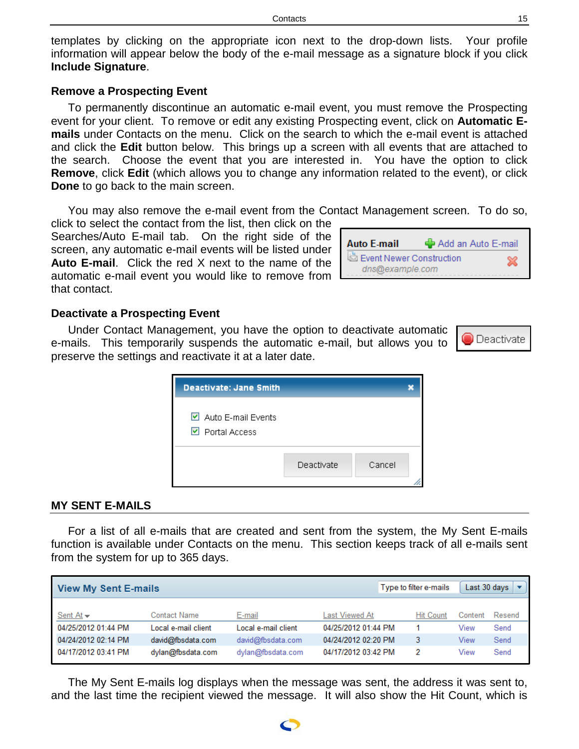templates by clicking on the appropriate icon next to the drop-down lists. Your profile information will appear below the body of the e-mail message as a signature block if you click **Include Signature**.

### <span id="page-14-0"></span>**Remove a Prospecting Event**

To permanently discontinue an automatic e-mail event, you must remove the Prospecting event for your client. To remove or edit any existing Prospecting event, click on **Automatic Emails** under Contacts on the menu. Click on the search to which the e-mail event is attached and click the **Edit** button below. This brings up a screen with all events that are attached to the search. Choose the event that you are interested in. You have the option to click **Remove**, click **Edit** (which allows you to change any information related to the event), or click **Done** to go back to the main screen.

You may also remove the e-mail event from the Contact Management screen. To do so,

click to select the contact from the list, then click on the Searches/Auto E-mail tab. On the right side of the screen, any automatic e-mail events will be listed under **Auto E-mail**. Click the red X next to the name of the automatic e-mail event you would like to remove from L that contact.

#### <span id="page-14-1"></span>**Deactivate a Prospecting Event**

Under Contact Management, you have the option to deactivate automatic e-mails. This temporarily suspends the automatic e-mail, but allows you to preserve the settings and reactivate it at a later date.

| Deactivate: Jane Smith                                                |            |        |  |
|-----------------------------------------------------------------------|------------|--------|--|
| $\triangleright$ Auto E-mail Events<br>$\triangleright$ Portal Access |            |        |  |
|                                                                       | Deactivate | Cancel |  |

#### <span id="page-14-2"></span>**MY SENT E-MAILS**

For a list of all e-mails that are created and sent from the system, the My Sent E-mails function is available under Contacts on the menu. This section keeps track of all e-mails sent from the system for up to 365 days.

| <b>View My Sent E-mails</b>   |                      |                     | Type to filter e-mails |                  | Last 30 days |        |
|-------------------------------|----------------------|---------------------|------------------------|------------------|--------------|--------|
| Sent At $\blacktriangleright$ | Contact Name         | E-mail              | Last Viewed At         | <b>Hit Count</b> | Content      | Resend |
| 04/25/2012 01:44 PM           | Local e-mail client. | Local e-mail client | 04/25/2012 01:44 PM    |                  | View         | Send   |
| 04/24/2012 02:14 PM           | david@fbsdata.com    | david@fbsdata.com   | 04/24/2012 02:20 PM    |                  | View         | Send   |
| 04/17/2012 03:41 PM           | dylan@fbsdata.com    | dylan@fbsdata.com   | 04/17/2012 03:42 PM    | 2                | View         | Send   |

The My Sent E-mails log displays when the message was sent, the address it was sent to, and the last time the recipient viewed the message. It will also show the Hit Count, which is

| <b>Auto E-mail</b>       | Add an Auto E-mail |  |
|--------------------------|--------------------|--|
| Event Newer Construction |                    |  |
| dns@example.com          |                    |  |